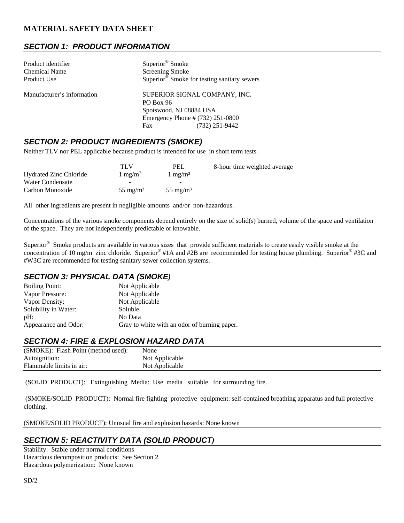## *SECTION 1: PRODUCT INFORMATION*

| Product identifier         | Superior <sup>®</sup> Smoke                             |  |  |
|----------------------------|---------------------------------------------------------|--|--|
| <b>Chemical Name</b>       | <b>Screening Smoke</b>                                  |  |  |
| Product Use                | Superior <sup>®</sup> Smoke for testing sanitary sewers |  |  |
| Manufacturer's information | SUPERIOR SIGNAL COMPANY, INC.                           |  |  |
|                            | <b>PO Box 96</b>                                        |  |  |
|                            | Spotswood, NJ 08884 USA                                 |  |  |
|                            | Emergency Phone # (732) 251-0800                        |  |  |
|                            | $(732)$ 251-9442<br>Fax                                 |  |  |

### *SECTION 2: PRODUCT INGREDIENTS (SMOKE)*

Neither TLV nor PEL applicable because product is intended for use in short term tests.

|                               | TLV                 | PEL                 | 8-hour time weighted average |
|-------------------------------|---------------------|---------------------|------------------------------|
| <b>Hydrated Zinc Chloride</b> | $1 \text{ mg/m}^3$  | $1 \text{ mg/m}^3$  |                              |
| Water Condensate              | -                   | -                   |                              |
| Carbon Monoxide               | $55 \text{ mg/m}^3$ | $55 \text{ mg/m}^3$ |                              |

All other ingredients are present in negligible amounts and/or non-hazardous.

Concentrations of the various smoke components depend entirely on the size of solid(s) burned, volume of the space and ventilation of the space. They are not independently predictable or knowable.

Superior® Smoke products are available in various sizes that provide sufficient materials to create easily visible smoke at the concentration of 10 mg/m zinc chloride. Superior® #1A and #2B are recommended for testing house plumbing. Superior® #3C and #W3C are recommended for testing sanitary sewer collection systems.

### *SECTION 3: PHYSICAL DATA (SMOKE)*

| <b>Boiling Point:</b> | Not Applicable                               |
|-----------------------|----------------------------------------------|
| Vapor Pressure:       | Not Applicable                               |
| Vapor Density:        | Not Applicable                               |
| Solubility in Water:  | Soluble                                      |
| pH:                   | No Data                                      |
| Appearance and Odor:  | Gray to white with an odor of burning paper. |

### *SECTION 4: FIRE & EXPLOSION HAZARD DATA*

| (SMOKE): Flash Point (method used): | None           |
|-------------------------------------|----------------|
| Autoignition:                       | Not Applicable |
| Flammable limits in air:            | Not Applicable |

(SOLID PRODUCT): Extinguishing Media: Use media suitable for surrounding fire.

 (SMOKE/SOLID PRODUCT): Normal fire fighting protective equipment: self-contained breathing apparatus and full protective clothing.

(SMOKE/SOLID PRODUCT): Unusual fire and explosion hazards: None known

# *SECTION 5: REACTIVITY DATA (SOLID PRODUCT)*

Stability: Stable under normal conditions Hazardous decomposition products: See Section 2 Hazardous polymerization: None known